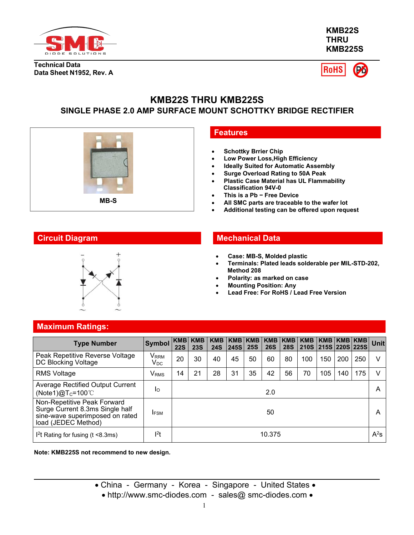

**KMB22S THRU KMB225S**

**Technical Data Data Sheet N1952, Rev. A**



# **KMB22S THRU KMB225S SINGLE PHASE 2.0 AMP SURFACE MOUNT SCHOTTKY BRIDGE RECTIFIER**



## **Features**

- **Schottky Brrier Chip**
- **Low Power Loss,High Efficiency**
- **Ideally Suited for Automatic Assembly**
- **Surge Overload Rating to 50A Peak**
- **Plastic Case Material has UL Flammability Classification 94V-0**
- **This is a Pb − Free Device**
- **All SMC parts are traceable to the wafer lot**
- **Additional testing can be offered upon request**



## **Circuit Diagram Mechanical Data**

- **Case: MB-S, Molded plastic**
- **Terminals: Plated leads solderable per MIL-STD-202, Method 208**
- **Polarity: as marked on case**
- **Mounting Position: Any**
- **Lead Free: For RoHS / Lead Free Version**

## **Maximum Ratings:**

| <b>Type Number</b>                                                                                                       | Symbol KMB KMB                   | <b>22S</b> | <b>23S</b> | <b>24S</b> | 245S | <b>25S</b> | KMB   KMB   KMB   KMB   KMB  <br><b>26S</b> | <b>28S</b> |     | 210S 215S 220S 225S |     | $KMB$   KMB   KMB   KMB | Unit                     |
|--------------------------------------------------------------------------------------------------------------------------|----------------------------------|------------|------------|------------|------|------------|---------------------------------------------|------------|-----|---------------------|-----|-------------------------|--------------------------|
| Peak Repetitive Reverse Voltage<br>DC Blocking Voltage                                                                   | Vrrm<br>$\mathsf{V}_\mathsf{DC}$ | 20         | 30         | 40         | 45   | 50         | 60                                          | 80         | 100 | 150                 | 200 | 250                     | V                        |
| <b>RMS Voltage</b>                                                                                                       | <b>V</b> <sub>RMS</sub>          | 14         | 21         | 28         | 31   | 35         | 42                                          | 56         | 70  | 105                 | 140 | 175                     | V                        |
| Average Rectified Output Current<br>(Note1) $@T_c=100^{\circ}$ C                                                         | Ιo                               |            |            |            |      |            | 2.0                                         |            |     |                     |     |                         | Α                        |
| Non-Repetitive Peak Forward<br>Surge Current 8.3ms Single half<br>sine-wave superimposed on rated<br>load (JEDEC Method) | <b>IFSM</b>                      |            |            |            |      |            | 50                                          |            |     |                     |     |                         | A                        |
| $12$ t Rating for fusing (t <8.3ms)                                                                                      | l <sup>2</sup> t                 |            |            |            |      |            | 10.375                                      |            |     |                     |     |                         | $\mathsf{A}^2\mathsf{s}$ |

**Note: KMB225S not recommend to new design.**

- China Germany Korea Singapore United States
	- http://www.smc-diodes.com sales@ smc-diodes.com •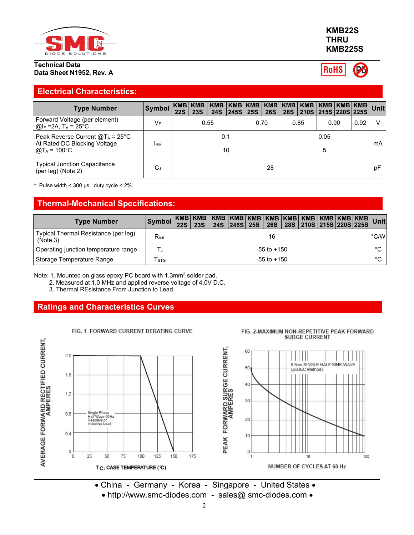

#### **Technical Data Data Sheet N1952, Rev. A**

## **Electrical Characteristics:**

| <b>Type Number</b>                                                                          | Symbol     | <b>22S</b> | <b>23S</b> | KMB KMB   KMB   KMB   KMB   KMB   KMB  <br><b>24S</b> | 245S 25S |      | 26S | KMB   KMB   KMB   KMB  <br>28S 210S 215S 220S 225S |           |      | <b>Unit</b> |
|---------------------------------------------------------------------------------------------|------------|------------|------------|-------------------------------------------------------|----------|------|-----|----------------------------------------------------|-----------|------|-------------|
| Forward Voltage (per element)<br>$\omega_F$ =2A, T <sub>A</sub> = 25°C                      | VF         |            |            | 0.55                                                  |          | 0.70 |     | 0.85                                               | 0.90      | 0.92 | $\vee$      |
| Peak Reverse Current $@T_A = 25^\circ C$<br>At Rated DC Blocking Voltage<br>@T $_A$ = 100°C | <b>IRM</b> |            |            | 0.1                                                   | 10       |      |     |                                                    | 0.05<br>5 |      | mA          |
| <b>Typical Junction Capacitance</b><br>(per leg) (Note 2)                                   | $C_{J}$    |            |            |                                                       |          |      | 28  |                                                    |           |      | pF          |

 $*$  Pulse width < 300 µs, duty cycle <  $2\%$ 

# **Thermal-Mechanical Specifications:**

| <b>Type Number</b>                               |                |  |  |                 |  |  |             |
|--------------------------------------------------|----------------|--|--|-----------------|--|--|-------------|
| Typical Thermal Resistance (per leg)<br>(Note 3) | $R_{\theta$ JL |  |  | 16              |  |  | °C/W        |
| Operating junction temperature range             |                |  |  | $-55$ to $+150$ |  |  | $\sim$<br>◡ |
| Storage Temperature Range                        | l stg          |  |  | $-55$ to $+150$ |  |  | $\sim$<br>◡ |

Note: 1. Mounted on glass epoxy PC board with 1.3mm<sup>2</sup> solder pad.

2. Measured at 1.0 MHz and applied reverse voltage of 4.0V D.C.

FIG. 1- FORWARD CURRENT DERATING CURVE

3. Thermal REsistance From Junction to Lead.

# **Ratings and Characteristics Curves**



• http://www.smc-diodes.com - sales@ smc-diodes.com •

**KMB22S THRU KMB225S**

FIG. 2-MAXIMUM NON-REPETITIVE PEAK FORWARD

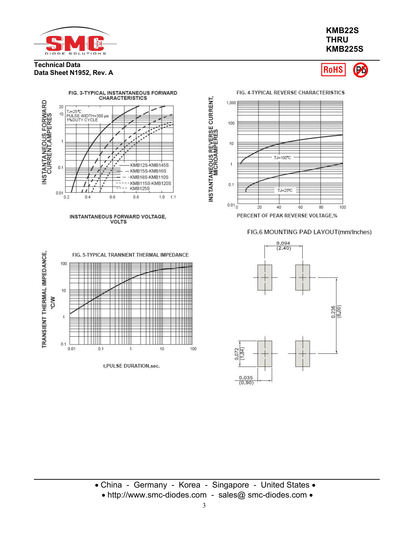

**Data Sheet N1952, Rev. A**

**Technical Data**

## **KMB22S THRU KMB225S**

#### **RoHS** Pó

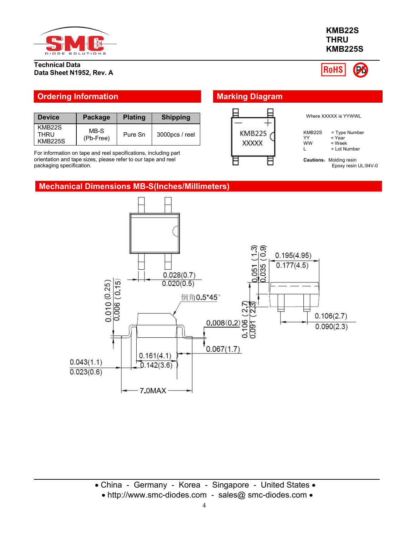

## **Technical Data Data Sheet N1952, Rev. A**



| l Device                         | Package           | <b>Plating</b> | <b>Shipping</b> |                             |
|----------------------------------|-------------------|----------------|-----------------|-----------------------------|
| KMB22S<br>THRU<br><b>KMB225S</b> | MB-S<br>(Pb-Free) | Pure Sn        | 3000pcs / reel  | KMB <sub>225</sub><br>XXXXX |

**Mechanical Dimensions MB-S(Inches/Millimeters)**

For information on tape and reel specifications, including part orientation and tape sizes, please refer to our tape and reel packaging specification.





# 4

**THRU KMB225S**

**KMB22S**

**RoHS**